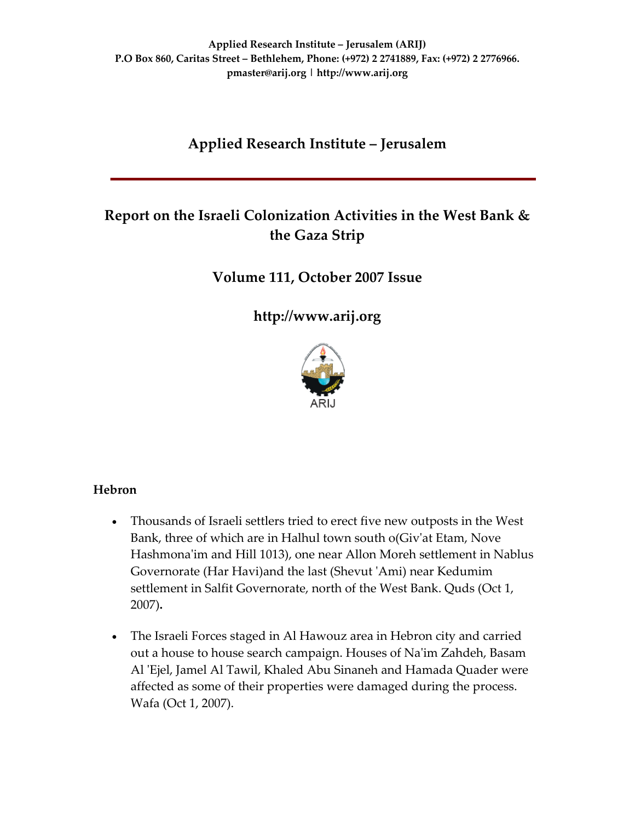# **Applied Research Institute – Jerusalem**

# **Report on the Israeli Colonization Activities in the West Bank & the Gaza Strip**

## **Volume 111, October 2007 Issue**

**[http://www.arij.org](http://www.arij.org/)**



#### **Hebron**

- Thousands of Israeli settlers tried to erect five new outposts in the West Bank, three of which are in Halhul town south o(Giv'at Etam, Nove Hashmona'im and Hill 1013), one near Allon Moreh settlement in Nablus Governorate (Har Havi)and the last (Shevut ʹAmi) near Kedumim settlement in Salfit Governorate, north of the West Bank. Quds (Oct 1, 2007)**.**
- The Israeli Forces staged in Al Hawouz area in Hebron city and carried out a house to house search campaign. Houses of Naʹim Zahdeh, Basam Al 'Ejel, Jamel Al Tawil, Khaled Abu Sinaneh and Hamada Quader were affected as some of their properties were damaged during the process. Wafa (Oct 1, 2007).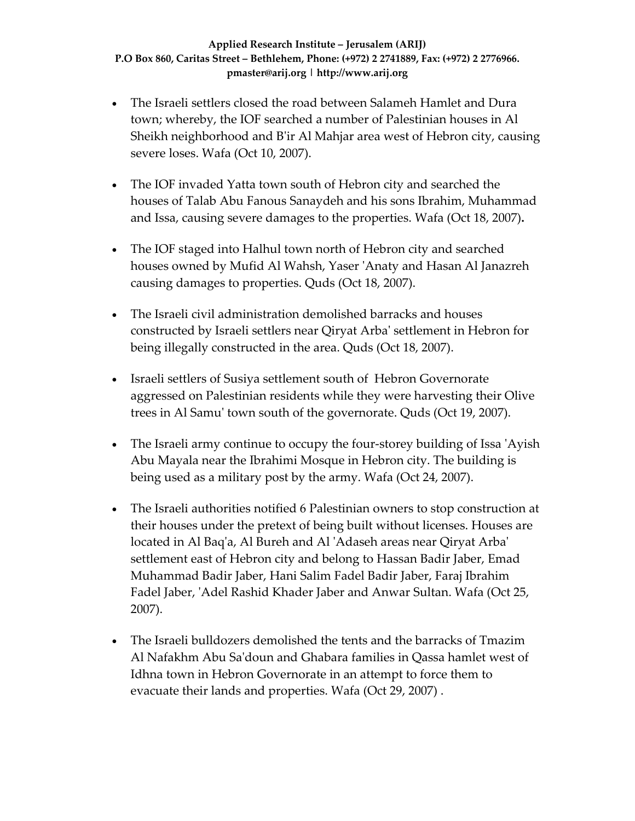- The Israeli settlers closed the road between Salameh Hamlet and Dura town; whereby, the IOF searched a number of Palestinian houses in Al Sheikh neighborhood and Bʹir Al Mahjar area west of Hebron city, causing severe loses. Wafa (Oct 10, 2007).
- The IOF invaded Yatta town south of Hebron city and searched the houses of Talab Abu Fanous Sanaydeh and his sons Ibrahim, Muhammad and Issa, causing severe damages to the properties. Wafa (Oct 18, 2007)**.**
- The IOF staged into Halhul town north of Hebron city and searched houses owned by Mufid Al Wahsh, Yaser ʹAnaty and Hasan Al Janazreh causing damages to properties. Quds (Oct 18, 2007).
- The Israeli civil administration demolished barracks and houses constructed by Israeli settlers near Qiryat Arbaʹ settlement in Hebron for being illegally constructed in the area. Quds (Oct 18, 2007).
- Israeli settlers of Susiya settlement south of Hebron Governorate aggressed on Palestinian residents while they were harvesting their Olive trees in Al Samuʹ town south of the governorate. Quds (Oct 19, 2007).
- The Israeli army continue to occupy the four-storey building of Issa 'Ayish Abu Mayala near the Ibrahimi Mosque in Hebron city. The building is being used as a military post by the army. Wafa (Oct 24, 2007).
- The Israeli authorities notified 6 Palestinian owners to stop construction at their houses under the pretext of being built without licenses. Houses are located in Al Baq'a, Al Bureh and Al 'Adaseh areas near Qiryat Arba' settlement east of Hebron city and belong to Hassan Badir Jaber, Emad Muhammad Badir Jaber, Hani Salim Fadel Badir Jaber, Faraj Ibrahim Fadel Jaber, ʹAdel Rashid Khader Jaber and Anwar Sultan. Wafa (Oct 25, 2007).
- The Israeli bulldozers demolished the tents and the barracks of Tmazim Al Nafakhm Abu Saʹdoun and Ghabara families in Qassa hamlet west of Idhna town in Hebron Governorate in an attempt to force them to evacuate their lands and properties. Wafa (Oct 29, 2007) .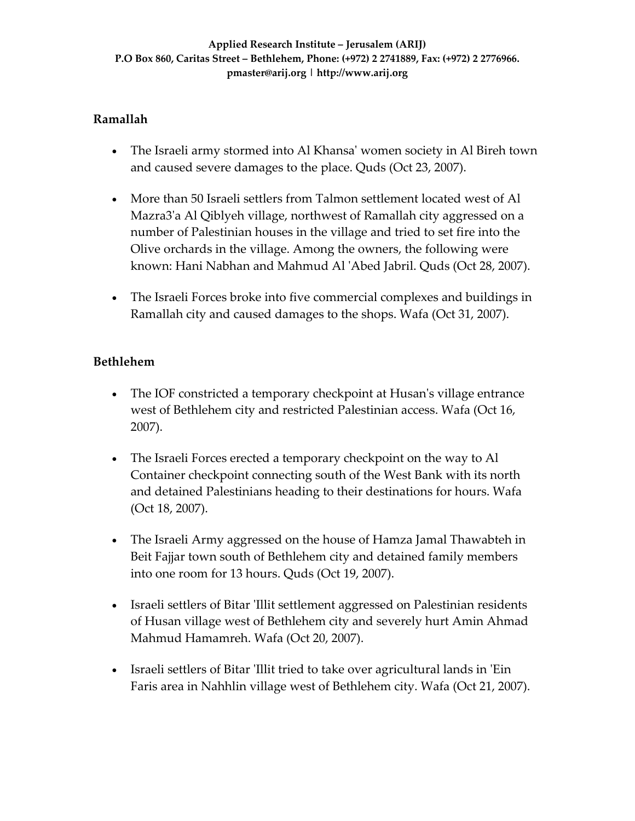## **Ramallah**

- The Israeli army stormed into Al Khansa' women society in Al Bireh town and caused severe damages to the place. Quds (Oct 23, 2007).
- More than 50 Israeli settlers from Talmon settlement located west of Al Mazra3ʹa Al Qiblyeh village, northwest of Ramallah city aggressed on a number of Palestinian houses in the village and tried to set fire into the Olive orchards in the village. Among the owners, the following were known: Hani Nabhan and Mahmud Al ʹAbed Jabril. Quds (Oct 28, 2007).
- The Israeli Forces broke into five commercial complexes and buildings in Ramallah city and caused damages to the shops. Wafa (Oct 31, 2007).

## **Bethlehem**

- The IOF constricted a temporary checkpoint at Husan's village entrance west of Bethlehem city and restricted Palestinian access. Wafa (Oct 16, 2007).
- The Israeli Forces erected a temporary checkpoint on the way to Al Container checkpoint connecting south of the West Bank with its north and detained Palestinians heading to their destinations for hours. Wafa (Oct 18, 2007).
- The Israeli Army aggressed on the house of Hamza Jamal Thawabteh in Beit Fajjar town south of Bethlehem city and detained family members into one room for 13 hours. Quds (Oct 19, 2007).
- Israeli settlers of Bitar 'Illit settlement aggressed on Palestinian residents of Husan village west of Bethlehem city and severely hurt Amin Ahmad Mahmud Hamamreh. Wafa (Oct 20, 2007).
- Israeli settlers of Bitar 'Illit tried to take over agricultural lands in 'Ein Faris area in Nahhlin village west of Bethlehem city. Wafa (Oct 21, 2007).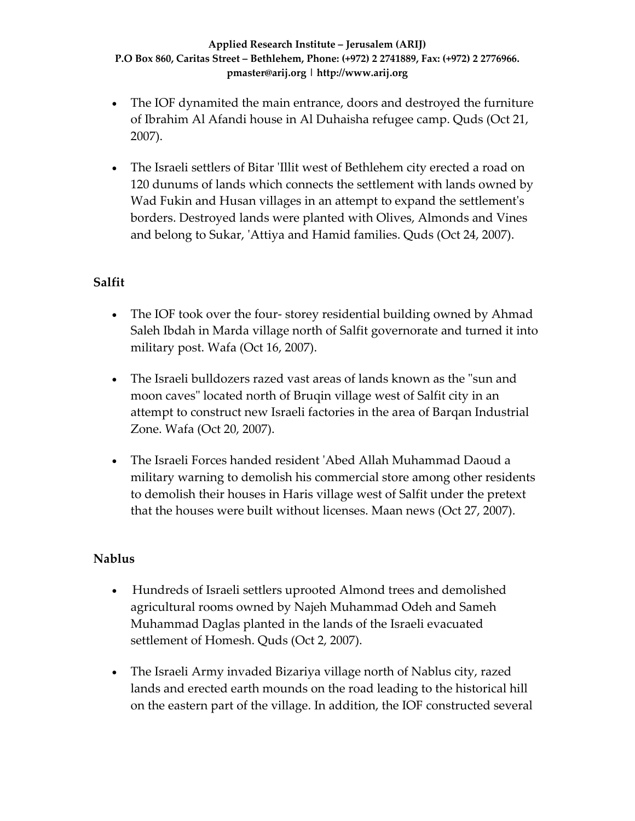- The IOF dynamited the main entrance, doors and destroyed the furniture of Ibrahim Al Afandi house in Al Duhaisha refugee camp. Quds (Oct 21, 2007).
- The Israeli settlers of Bitar 'Illit west of Bethlehem city erected a road on 120 dunums of lands which connects the settlement with lands owned by Wad Fukin and Husan villages in an attempt to expand the settlement's borders. Destroyed lands were planted with Olives, Almonds and Vines and belong to Sukar, ʹAttiya and Hamid families. Quds (Oct 24, 2007).

## **Salfit**

- The IOF took over the four-storey residential building owned by Ahmad Saleh Ibdah in Marda village north of Salfit governorate and turned it into military post. Wafa (Oct 16, 2007).
- The Israeli bulldozers razed vast areas of lands known as the "sun and moon caves" located north of Bruqin village west of Salfit city in an attempt to construct new Israeli factories in the area of Barqan Industrial Zone. Wafa (Oct 20, 2007).
- The Israeli Forces handed resident ʹAbed Allah Muhammad Daoud a military warning to demolish his commercial store among other residents to demolish their houses in Haris village west of Salfit under the pretext that the houses were built without licenses. Maan news (Oct 27, 2007).

#### **Nablus**

- Hundreds of Israeli settlers uprooted Almond trees and demolished agricultural rooms owned by Najeh Muhammad Odeh and Sameh Muhammad Daglas planted in the lands of the Israeli evacuated settlement of Homesh. Quds (Oct 2, 2007).
- The Israeli Army invaded Bizariya village north of Nablus city, razed lands and erected earth mounds on the road leading to the historical hill on the eastern part of the village. In addition, the IOF constructed several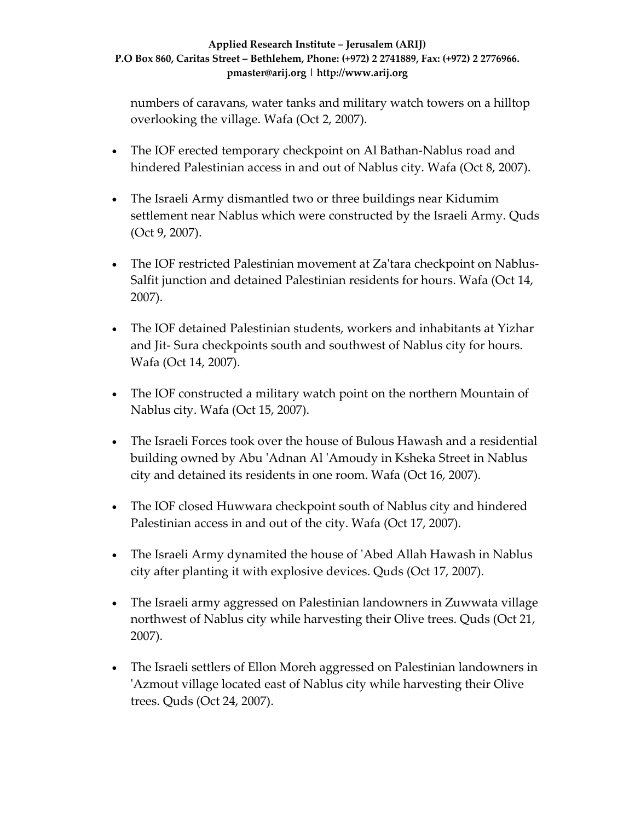numbers of caravans, water tanks and military watch towers on a hilltop overlooking the village. Wafa (Oct 2, 2007).

- The IOF erected temporary checkpoint on Al Bathan-Nablus road and hindered Palestinian access in and out of Nablus city. Wafa (Oct 8, 2007).
- The Israeli Army dismantled two or three buildings near Kidumim settlement near Nablus which were constructed by the Israeli Army. Quds (Oct 9, 2007).
- The IOF restricted Palestinian movement at Za'tara checkpoint on Nablus-Salfit junction and detained Palestinian residents for hours. Wafa (Oct 14, 2007).
- The IOF detained Palestinian students, workers and inhabitants at Yizhar and Jit‐ Sura checkpoints south and southwest of Nablus city for hours. Wafa (Oct 14, 2007).
- The IOF constructed a military watch point on the northern Mountain of Nablus city. Wafa (Oct 15, 2007).
- The Israeli Forces took over the house of Bulous Hawash and a residential building owned by Abu ʹAdnan Al ʹAmoudy in Ksheka Street in Nablus city and detained its residents in one room. Wafa (Oct 16, 2007).
- The IOF closed Huwwara checkpoint south of Nablus city and hindered Palestinian access in and out of the city. Wafa (Oct 17, 2007).
- The Israeli Army dynamited the house of 'Abed Allah Hawash in Nablus city after planting it with explosive devices. Quds (Oct 17, 2007).
- The Israeli army aggressed on Palestinian landowners in Zuwwata village northwest of Nablus city while harvesting their Olive trees. Quds (Oct 21, 2007).
- The Israeli settlers of Ellon Moreh aggressed on Palestinian landowners in ʹAzmout village located east of Nablus city while harvesting their Olive trees. Quds (Oct 24, 2007).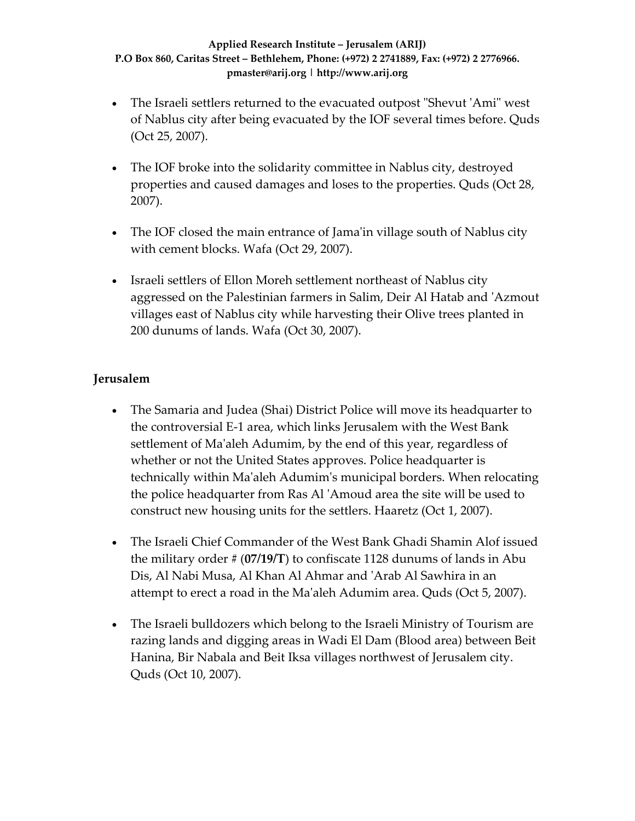- The Israeli settlers returned to the evacuated outpost "Shevut 'Ami" west of Nablus city after being evacuated by the IOF several times before. Quds (Oct 25, 2007).
- The IOF broke into the solidarity committee in Nablus city, destroyed properties and caused damages and loses to the properties. Quds (Oct 28, 2007).
- The IOF closed the main entrance of Jama'in village south of Nablus city with cement blocks. Wafa (Oct 29, 2007).
- Israeli settlers of Ellon Moreh settlement northeast of Nablus city aggressed on the Palestinian farmers in Salim, Deir Al Hatab and ʹAzmout villages east of Nablus city while harvesting their Olive trees planted in 200 dunums of lands. Wafa (Oct 30, 2007).

## **Jerusalem**

- The Samaria and Judea (Shai) District Police will move its headquarter to the controversial E‐1 area, which links Jerusalem with the West Bank settlement of Maʹaleh Adumim, by the end of this year, regardless of whether or not the United States approves. Police headquarter is technically within Maʹaleh Adumimʹs municipal borders. When relocating the police headquarter from Ras Al ʹAmoud area the site will be used to construct new housing units for the settlers. Haaretz (Oct 1, 2007).
- The Israeli Chief Commander of the West Bank Ghadi Shamin Alof issued the military order # (**07/19/T**) to confiscate 1128 dunums of lands in Abu Dis, Al Nabi Musa, Al Khan Al Ahmar and ʹArab Al Sawhira in an attempt to erect a road in the Maʹaleh Adumim area. Quds (Oct 5, 2007).
- The Israeli bulldozers which belong to the Israeli Ministry of Tourism are razing lands and digging areas in Wadi El Dam (Blood area) between Beit Hanina, Bir Nabala and Beit Iksa villages northwest of Jerusalem city. Quds (Oct 10, 2007).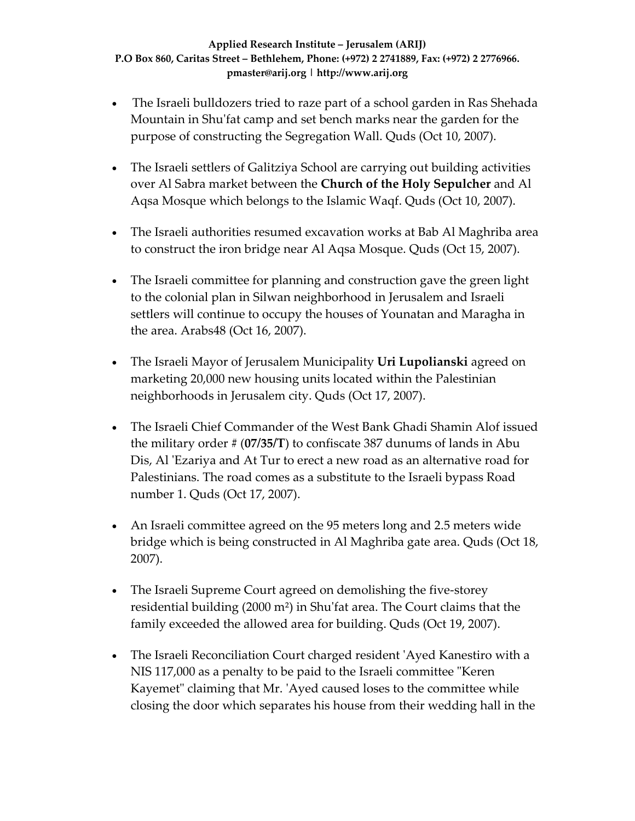- The Israeli bulldozers tried to raze part of a school garden in Ras Shehada Mountain in Shuʹfat camp and set bench marks near the garden for the purpose of constructing the Segregation Wall. Quds (Oct 10, 2007).
- The Israeli settlers of Galitziya School are carrying out building activities over Al Sabra market between the **Church of the Holy Sepulcher** and Al Aqsa Mosque which belongs to the Islamic Waqf. Quds (Oct 10, 2007).
- The Israeli authorities resumed excavation works at Bab Al Maghriba area to construct the iron bridge near Al Aqsa Mosque. Quds (Oct 15, 2007).
- The Israeli committee for planning and construction gave the green light to the colonial plan in Silwan neighborhood in Jerusalem and Israeli settlers will continue to occupy the houses of Younatan and Maragha in the area. Arabs48 (Oct 16, 2007).
- The Israeli Mayor of Jerusalem Municipality **Uri Lupolianski** agreed on marketing 20,000 new housing units located within the Palestinian neighborhoods in Jerusalem city. Quds (Oct 17, 2007).
- The Israeli Chief Commander of the West Bank Ghadi Shamin Alof issued the military order # (**07/35/T**) to confiscate 387 dunums of lands in Abu Dis, Al 'Ezariya and At Tur to erect a new road as an alternative road for Palestinians. The road comes as a substitute to the Israeli bypass Road number 1. Quds (Oct 17, 2007).
- An Israeli committee agreed on the 95 meters long and 2.5 meters wide bridge which is being constructed in Al Maghriba gate area. Quds (Oct 18, 2007).
- The Israeli Supreme Court agreed on demolishing the five-storey residential building  $(2000 \text{ m}^2)$  in Shu'fat area. The Court claims that the family exceeded the allowed area for building. Quds (Oct 19, 2007).
- The Israeli Reconciliation Court charged resident 'Ayed Kanestiro with a NIS 117,000 as a penalty to be paid to the Israeli committee "Keren Kayemet" claiming that Mr. 'Ayed caused loses to the committee while closing the door which separates his house from their wedding hall in the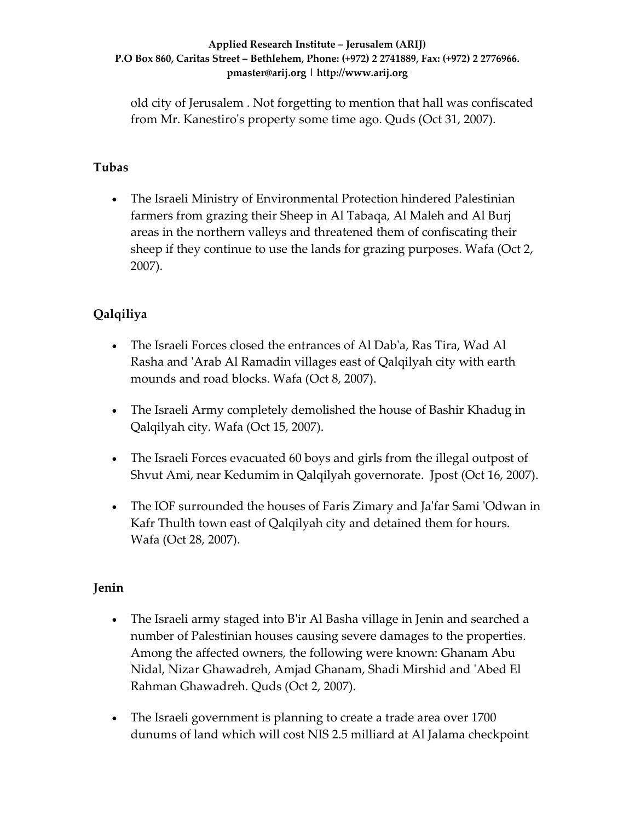old city of Jerusalem . Not forgetting to mention that hall was confiscated from Mr. Kanestiro's property some time ago. Quds (Oct 31, 2007).

## **Tubas**

• The Israeli Ministry of Environmental Protection hindered Palestinian farmers from grazing their Sheep in Al Tabaqa, Al Maleh and Al Burj areas in the northern valleys and threatened them of confiscating their sheep if they continue to use the lands for grazing purposes. Wafa (Oct 2, 2007).

## **Qalqiliya**

- The Israeli Forces closed the entrances of Al Dabʹa, Ras Tira, Wad Al Rasha and ʹArab Al Ramadin villages east of Qalqilyah city with earth mounds and road blocks. Wafa (Oct 8, 2007).
- The Israeli Army completely demolished the house of Bashir Khadug in Qalqilyah city. Wafa (Oct 15, 2007).
- The Israeli Forces evacuated 60 boys and girls from the illegal outpost of Shvut Ami, near Kedumim in Qalqilyah governorate. Jpost (Oct 16, 2007).
- The IOF surrounded the houses of Faris Zimary and Ja'far Sami 'Odwan in Kafr Thulth town east of Qalqilyah city and detained them for hours. Wafa (Oct 28, 2007).

## **Jenin**

- The Israeli army staged into B'ir Al Basha village in Jenin and searched a number of Palestinian houses causing severe damages to the properties. Among the affected owners, the following were known: Ghanam Abu Nidal, Nizar Ghawadreh, Amjad Ghanam, Shadi Mirshid and ʹAbed El Rahman Ghawadreh. Quds (Oct 2, 2007).
- The Israeli government is planning to create a trade area over 1700 dunums of land which will cost NIS 2.5 milliard at Al Jalama checkpoint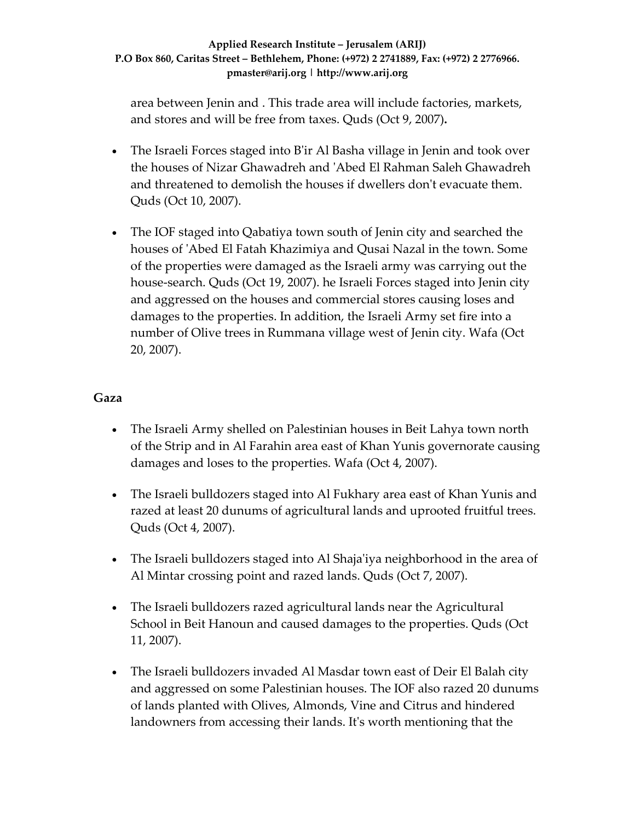area between Jenin and . This trade area will include factories, markets, and stores and will be free from taxes. Quds (Oct 9, 2007)**.**

- The Israeli Forces staged into B'ir Al Basha village in Jenin and took over the houses of Nizar Ghawadreh and ʹAbed El Rahman Saleh Ghawadreh and threatened to demolish the houses if dwellers donʹt evacuate them. Quds (Oct 10, 2007).
- The IOF staged into Qabatiya town south of Jenin city and searched the houses of ʹAbed El Fatah Khazimiya and Qusai Nazal in the town. Some of the properties were damaged as the Israeli army was carrying out the house-search. Quds (Oct 19, 2007). he Israeli Forces staged into Jenin city and aggressed on the houses and commercial stores causing loses and damages to the properties. In addition, the Israeli Army set fire into a number of Olive trees in Rummana village west of Jenin city. Wafa (Oct 20, 2007).

### **Gaza**

- The Israeli Army shelled on Palestinian houses in Beit Lahya town north of the Strip and in Al Farahin area east of Khan Yunis governorate causing damages and loses to the properties. Wafa (Oct 4, 2007).
- The Israeli bulldozers staged into Al Fukhary area east of Khan Yunis and razed at least 20 dunums of agricultural lands and uprooted fruitful trees. Quds (Oct 4, 2007).
- The Israeli bulldozers staged into Al Shaja'iya neighborhood in the area of Al Mintar crossing point and razed lands. Quds (Oct 7, 2007).
- The Israeli bulldozers razed agricultural lands near the Agricultural School in Beit Hanoun and caused damages to the properties. Quds (Oct 11, 2007).
- The Israeli bulldozers invaded Al Masdar town east of Deir El Balah city and aggressed on some Palestinian houses. The IOF also razed 20 dunums of lands planted with Olives, Almonds, Vine and Citrus and hindered landowners from accessing their lands. Itʹs worth mentioning that the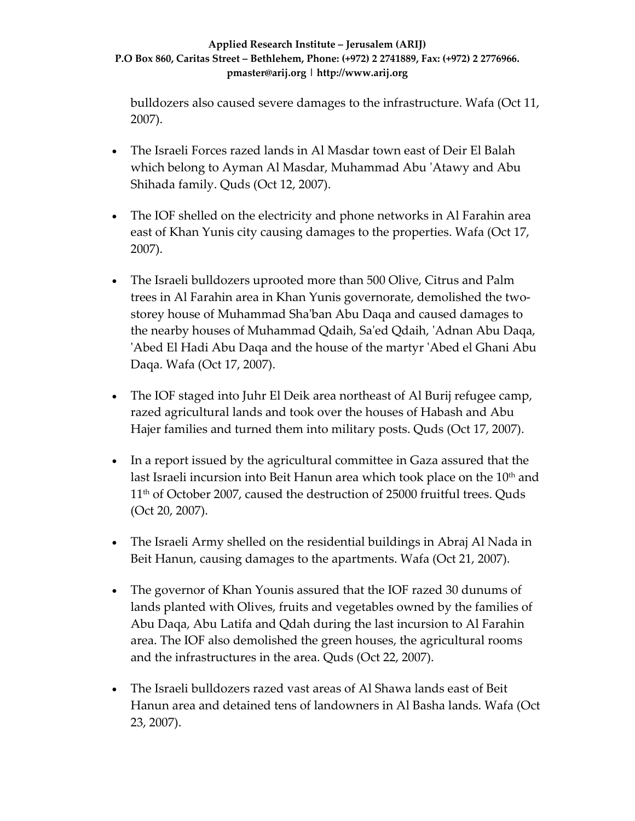bulldozers also caused severe damages to the infrastructure. Wafa (Oct 11, 2007).

- The Israeli Forces razed lands in Al Masdar town east of Deir El Balah which belong to Ayman Al Masdar, Muhammad Abu ʹAtawy and Abu Shihada family. Quds (Oct 12, 2007).
- The IOF shelled on the electricity and phone networks in Al Farahin area east of Khan Yunis city causing damages to the properties. Wafa (Oct 17, 2007).
- The Israeli bulldozers uprooted more than 500 Olive, Citrus and Palm trees in Al Farahin area in Khan Yunis governorate, demolished the two‐ storey house of Muhammad Shaʹban Abu Daqa and caused damages to the nearby houses of Muhammad Qdaih, Saʹed Qdaih, ʹAdnan Abu Daqa, ʹAbed El Hadi Abu Daqa and the house of the martyr ʹAbed el Ghani Abu Daqa. Wafa (Oct 17, 2007).
- The IOF staged into Juhr El Deik area northeast of Al Burij refugee camp, razed agricultural lands and took over the houses of Habash and Abu Hajer families and turned them into military posts. Quds (Oct 17, 2007).
- In a report issued by the agricultural committee in Gaza assured that the last Israeli incursion into Beit Hanun area which took place on the 10<sup>th</sup> and 11th of October 2007, caused the destruction of 25000 fruitful trees. Quds (Oct 20, 2007).
- The Israeli Army shelled on the residential buildings in Abraj Al Nada in Beit Hanun, causing damages to the apartments. Wafa (Oct 21, 2007).
- The governor of Khan Younis assured that the IOF razed 30 dunums of lands planted with Olives, fruits and vegetables owned by the families of Abu Daqa, Abu Latifa and Qdah during the last incursion to Al Farahin area. The IOF also demolished the green houses, the agricultural rooms and the infrastructures in the area. Quds (Oct 22, 2007).
- The Israeli bulldozers razed vast areas of Al Shawa lands east of Beit Hanun area and detained tens of landowners in Al Basha lands. Wafa (Oct 23, 2007).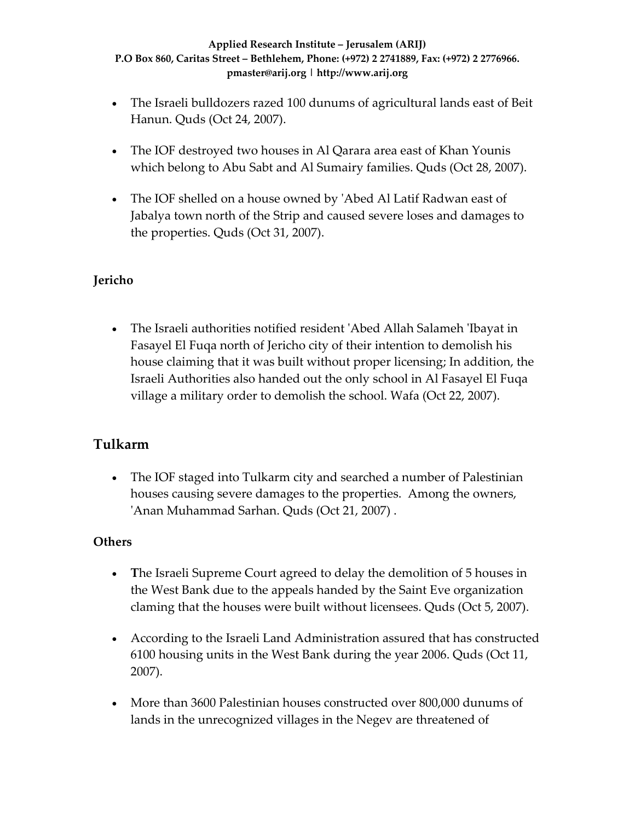- The Israeli bulldozers razed 100 dunums of agricultural lands east of Beit Hanun. Quds (Oct 24, 2007).
- The IOF destroyed two houses in Al Qarara area east of Khan Younis which belong to Abu Sabt and Al Sumairy families. Quds (Oct 28, 2007).
- The IOF shelled on a house owned by 'Abed Al Latif Radwan east of Jabalya town north of the Strip and caused severe loses and damages to the properties. Quds (Oct 31, 2007).

## **Jericho**

• The Israeli authorities notified resident 'Abed Allah Salameh 'Ibayat in Fasayel El Fuqa north of Jericho city of their intention to demolish his house claiming that it was built without proper licensing; In addition, the Israeli Authorities also handed out the only school in Al Fasayel El Fuqa village a military order to demolish the school. Wafa (Oct 22, 2007).

## **Tulkarm**

• The IOF staged into Tulkarm city and searched a number of Palestinian houses causing severe damages to the properties. Among the owners, ʹAnan Muhammad Sarhan. Quds (Oct 21, 2007) .

## **Others**

- **T**he Israeli Supreme Court agreed to delay the demolition of 5 houses in the West Bank due to the appeals handed by the Saint Eve organization claming that the houses were built without licensees. Quds (Oct 5, 2007).
- According to the Israeli Land Administration assured that has constructed 6100 housing units in the West Bank during the year 2006. Quds (Oct 11, 2007).
- More than 3600 Palestinian houses constructed over 800,000 dunums of lands in the unrecognized villages in the Negev are threatened of